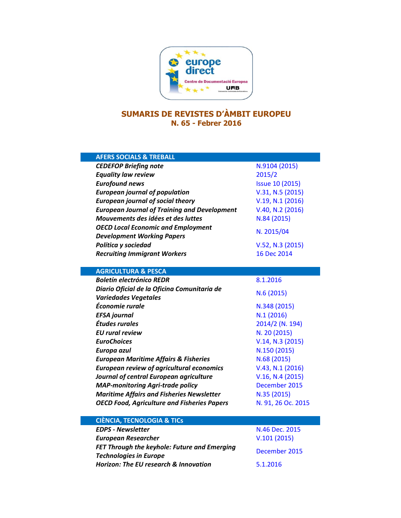

## **SUMARIS DE REVISTES D'ÀMBIT EUROPEU N. 65 - Febrer 2016**

| <b>AFERS SOCIALS &amp; TREBALL</b>                  |                        |
|-----------------------------------------------------|------------------------|
| <b>CEDEFOP Briefing note</b>                        | N.9104 (2015)          |
| <b>Equality law review</b>                          | 2015/2                 |
| <b>Eurofound news</b>                               | <b>Issue 10 (2015)</b> |
| <b>European journal of population</b>               | V.31, N.5 (2015)       |
| <b>European journal of social theory</b>            | V.19, N.1 (2016)       |
| <b>European Journal of Training and Development</b> | V.40, N.2 (2016)       |
| Mouvements des idées et des luttes                  | N.84 (2015)            |
| <b>OECD Local Economic and Employment</b>           | N. 2015/04             |
| <b>Development Working Papers</b>                   |                        |
| Política y sociedad                                 | V.52, N.3 (2015)       |
| <b>Recruiting Immigrant Workers</b>                 | 16 Dec 2014            |
|                                                     |                        |
| <b>AGRICULTURA &amp; PESCA</b>                      |                        |
| <b>Boletín electrónico REDR</b>                     | 8.1.2016               |
| Diario Oficial de la Oficina Comunitaria de         | N.6(2015)              |
| <b>Variedades Vegetales</b>                         |                        |
| Économie rurale                                     | N.348 (2015)           |
| <b>EFSA</b> journal                                 | N.1(2016)              |
| Études rurales                                      | 2014/2 (N. 194)        |
| <b>EU</b> rural review                              | N. 20 (2015)           |
| <b>EuroChoices</b>                                  | V.14, N.3 (2015)       |
| Europa azul                                         | N.150 (2015)           |
| <b>European Maritime Affairs &amp; Fisheries</b>    | N.68 (2015)            |
| <b>European review of agricultural economics</b>    | V.43, N.1 (2016)       |
| Journal of central European agriculture             | V.16, N.4 (2015)       |
| <b>MAP-monitoring Agri-trade policy</b>             | December 2015          |
| <b>Maritime Affairs and Fisheries Newsletter</b>    | N.35 (2015)            |
| <b>OECD Food, Agriculture and Fisheries Papers</b>  | N. 91, 26 Oc. 2015     |
|                                                     |                        |
| <b>CIÈNCIA, TECNOLOGIA &amp; TICS</b>               |                        |
| <b>EDPS - Newsletter</b>                            | N.46 Dec. 2015         |
| <b>European Researcher</b>                          | V.101(2015)            |
| <b>FET Through the keyhole: Future and Emerging</b> | December 2015          |
| <b>Technologies in Europe</b>                       |                        |
| <b>Horizon: The EU research &amp; Innovation</b>    | 5.1.2016               |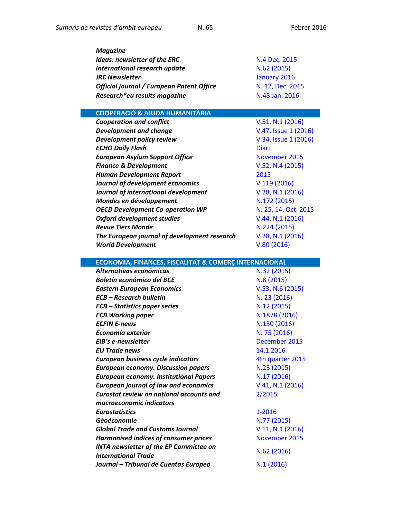| <b>Magazine</b>                                  |                  |
|--------------------------------------------------|------------------|
| <b>Ideas: newsletter of the ERC</b>              | N.4 Dec. 2015    |
| International research update                    | N.62 (2015)      |
| <b>JRC Newsletter</b>                            | January 2016     |
| <b>Official journal / European Patent Office</b> | N. 12, Dec. 2015 |
| Research*eu results magazine                     | N.48 Jan. 2016   |

## **COOPERACIÓ & AJUDA HUMANITÀRIA**

| <b>Cooperation and conflict</b>              | V.51, N.1 (2016)     |
|----------------------------------------------|----------------------|
| <b>Development and change</b>                | V.47, Issue 1 (2016) |
| Development policy review                    | V.34, Issue 1 (2016) |
| <b>ECHO Daily Flash</b>                      | <b>Diari</b>         |
| <b>European Asylum Support Office</b>        | November 2015        |
| <b>Finance &amp; Development</b>             | V.52, N.4 (2015)     |
| <b>Human Development Report</b>              | 2015                 |
| Journal of development economics             | V.119(2016)          |
| Journal of international development         | V.28, N.1 (2016)     |
| Mondes en développement                      | N.172 (2015)         |
| <b>OECD Development Co-operation WP</b>      | N. 25, 14. Oct. 2015 |
| <b>Oxford development studies</b>            | V.44, N.1 (2016)     |
| <b>Revue Tiers Monde</b>                     | N.224 (2015)         |
| The European journal of development research | V.28, N.1 (2016)     |
| <b>World Development</b>                     | V.80(2016)           |

| <b>ECONOMIA, FINANCES, FISCALITAT &amp; COMERÇ INTERNACIONAL</b> |                  |
|------------------------------------------------------------------|------------------|
| Alternativas económicas                                          | N.32 (2015)      |
| <b>Boletín económico del BCE</b>                                 | N.8 (2015)       |
| <b>Eastern European Economics</b>                                | V.53, N.6 (2015) |
| <b>ECB - Research bulletin</b>                                   | N. 23 (2016)     |
| <b>ECB</b> – Statistics paper series                             | N.12 (2015)      |
| <b>ECB Working paper</b>                                         | N.1878 (2016)    |
| <b>ECFIN E-news</b>                                              | N.130 (2016)     |
| Economía exterior                                                | N. 75 (2016)     |
| EIB's e-newsletter                                               | December 2015    |
| <b>EU Trade news</b>                                             | 14.1.2016        |
| European business cycle indicators                               | 4th quarter 2015 |
| <b>European economy. Discussion papers</b>                       | N.23 (2015)      |
| <b>European economy. Institutional Papers</b>                    | N.17 (2016)      |
| <b>European journal of law and economics</b>                     | V.41, N.1 (2016) |
| <b>Eurostat review on national accounts and</b>                  | 2/2015           |
| macroeconomic indicators                                         |                  |
| <b>Eurostatistics</b>                                            | 1-2016           |
| Géoéconomie                                                      | N.77 (2015)      |
| <b>Global Trade and Customs Journal</b>                          | V.11, N.1 (2016) |
| <b>Harmonised indices of consumer prices</b>                     | November 2015    |
| <b>INTA newsletter of the EP Committee on</b>                    | N.62 (2016)      |
| <b>International Trade</b>                                       |                  |
| Journal - Tribunal de Cuentas Europeo                            | N.1(2016)        |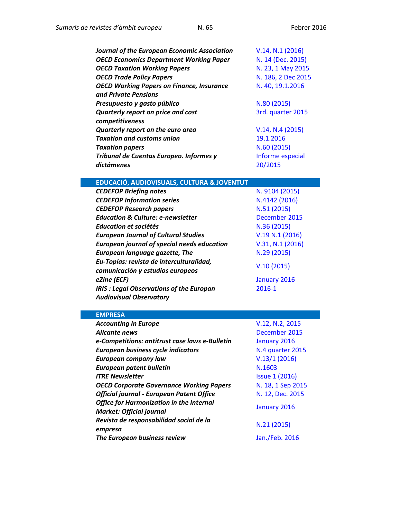| <b>Journal of the European Economic Association</b> | V.14, N.1 (2016)   |
|-----------------------------------------------------|--------------------|
| <b>OECD Economics Department Working Paper</b>      | N. 14 (Dec. 2015)  |
| <b>OECD Taxation Working Papers</b>                 | N. 23, 1 May 2015  |
| <b>OECD Trade Policy Papers</b>                     | N. 186, 2 Dec 2015 |
| <b>OECD Working Papers on Finance, Insurance</b>    | N. 40, 19.1.2016   |
| and Private Pensions                                |                    |
| Presupuesto y gasto público                         | N.80 (2015)        |
| Quarterly report on price and cost                  | 3rd. quarter 2015  |
| competitiveness                                     |                    |
| Quarterly report on the euro area                   | V.14, N.4 (2015)   |
| <b>Taxation and customs union</b>                   | 19.1.2016          |
| <b>Taxation papers</b>                              | N.60 (2015)        |
| Tribunal de Cuentas Europeo. Informes y             | Informe especial   |
| dictámenes                                          | 20/2015            |

## **EDUCACIÓ, AUDIOVISUALS, CULTURA & JOVENTUT**

| <b>CEDEFOP Briefing notes</b>                                                    | N. 9104 (2015)   |
|----------------------------------------------------------------------------------|------------------|
| <b>CEDEFOP Information series</b>                                                | N.4142 (2016)    |
| <b>CEDEFOP Research papers</b>                                                   | N.51 (2015)      |
| <b>Education &amp; Culture: e-newsletter</b>                                     | December 2015    |
| Education et sociétés                                                            | N.36 (2015)      |
| <b>European Journal of Cultural Studies</b>                                      | V.19 N.1 (2016)  |
| <b>European journal of special needs education</b>                               | V.31, N.1 (2016) |
| <b>European language gazette, The</b>                                            | N.29 (2015)      |
| Eu-Topías: revista de interculturalidad,<br>comunicación y estudios europeos     | V.10(2015)       |
| eZine (ECF)                                                                      | January 2016     |
| <b>IRIS: Legal Observations of the Europan</b><br><b>Audiovisual Observatory</b> | 2016-1           |

## **EMPRESA**

| <b>Accounting in Europe</b>                                                        | V.12, N.2, 2015       |
|------------------------------------------------------------------------------------|-----------------------|
| <b>Alicante news</b>                                                               | December 2015         |
| e-Competitions: antitrust case laws e-Bulletin                                     | January 2016          |
| European business cycle indicators                                                 | N.4 quarter 2015      |
| <b>European company law</b>                                                        | V.13/1(2016)          |
| <b>European patent bulletin</b>                                                    | N.1603                |
| <b>ITRE Newsletter</b>                                                             | <b>Issue 1 (2016)</b> |
| <b>OECD Corporate Governance Working Papers</b>                                    | N. 18, 1 Sep 2015     |
| Official journal - European Patent Office                                          | N. 12, Dec. 2015      |
| <b>Office for Harmonization in the Internal</b><br><b>Market: Official journal</b> | January 2016          |
| Revista de responsabilidad social de la<br>empresa                                 | N.21 (2015)           |
| The European business review                                                       | Jan./Feb. 2016        |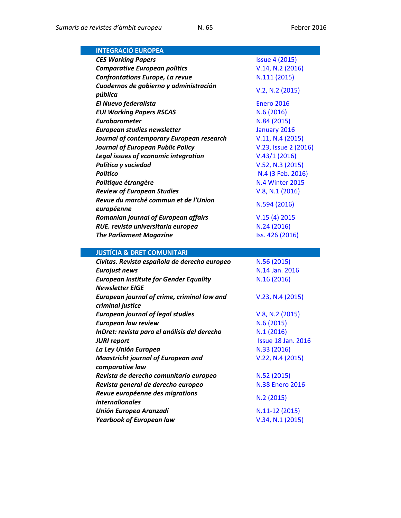| <b>INTEGRACIÓ EUROPEA</b>                                        |                                    |
|------------------------------------------------------------------|------------------------------------|
| <b>CES Working Papers</b>                                        | <b>Issue 4 (2015)</b>              |
| <b>Comparative European politics</b>                             | V.14, N.2 (2016)                   |
| Confrontations Europe, La revue                                  | N.111 (2015)                       |
| Cuadernos de gobierno y administración                           |                                    |
| pública                                                          | V.2, N.2 (2015)                    |
| <b>El Nuevo federalista</b>                                      | <b>Enero 2016</b>                  |
| <b>EUI Working Papers RSCAS</b>                                  | N.6(2016)                          |
| Eurobarometer                                                    | N.84 (2015)                        |
| European studies newsletter                                      | January 2016                       |
| Journal of contemporary European research                        | V.11, N.4 (2015)                   |
| <b>Journal of European Public Policy</b>                         | V.23, Issue 2 (2016)               |
| Legal issues of economic integration                             | V.43/1(2016)                       |
| Política y sociedad                                              | V.52, N.3 (2015)                   |
| <b>Politico</b>                                                  | N.4 (3 Feb. 2016)                  |
| Politique étrangère                                              | <b>N.4 Winter 2015</b>             |
| <b>Review of European Studies</b>                                | V.8, N.1 (2016)                    |
| Revue du marché commun et de l'Union                             |                                    |
| européenne                                                       | N.594 (2016)                       |
| <b>Romanian journal of European affairs</b>                      | V.15(4) 2015                       |
| RUE. revista universitaria europea                               | N.24 (2016)                        |
|                                                                  |                                    |
| <b>The Parliament Magazine</b>                                   | Iss. 426 (2016)                    |
|                                                                  |                                    |
| <b>JUSTÍCIA &amp; DRET COMUNITARI</b>                            |                                    |
| Civitas. Revista española de derecho europeo                     | N.56 (2015)                        |
| <b>Eurojust news</b>                                             | N.14 Jan. 2016                     |
| <b>European Institute for Gender Equality</b>                    | N.16 (2016)                        |
| <b>Newsletter EIGE</b>                                           |                                    |
| European journal of crime, criminal law and                      | V.23, N.4 (2015)                   |
| criminal justice                                                 |                                    |
| <b>European journal of legal studies</b>                         | V.8, N.2 (2015)                    |
| <b>European law review</b>                                       | N.6 (2015)                         |
| InDret: revista para el análisis del derecho                     | N.1(2016)                          |
| <b>JURI report</b>                                               | <b>Issue 18 Jan. 2016</b>          |
| La Ley Unión Europea                                             | N.33 (2016)                        |
| <b>Maastricht journal of European and</b>                        | V.22, N.4 (2015)                   |
| comparative law                                                  |                                    |
| Revista de derecho comunitario europeo                           | N.52 (2015)                        |
| Revista general de derecho europeo                               | <b>N.38 Enero 2016</b>             |
| Revue européenne des migrations                                  |                                    |
| <i>internalionales</i>                                           | N.2(2015)                          |
| <b>Unión Europea Aranzadi</b><br><b>Yearbook of European law</b> | N.11-12 (2015)<br>V.34, N.1 (2015) |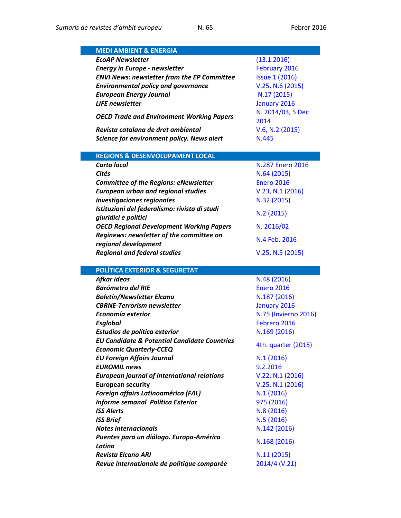| <b>MEDI AMBIENT &amp; ENERGIA</b>                                       |                              |
|-------------------------------------------------------------------------|------------------------------|
| <b>EcoAP Newsletter</b>                                                 | (13.1.2016)                  |
| <b>Energy in Europe - newsletter</b>                                    | February 2016                |
| <b>ENVI News: newsletter from the EP Committee</b>                      | <b>Issue 1 (2016)</b>        |
| <b>Environmental policy and governance</b>                              | V.25, N.6 (2015)             |
| <b>European Energy Journal</b>                                          | N.17 (2015)                  |
| <b>LIFE</b> newsletter                                                  | January 2016                 |
|                                                                         | N. 2014/03, 5 Dec            |
| <b>OECD Trade and Environment Working Papers</b>                        | 2014                         |
| Revista catalana de dret ambiental                                      | V.6, N.2 (2015)              |
| Science for environment policy. News alert                              | N.445                        |
|                                                                         |                              |
| <b>REGIONS &amp; DESENVOLUPAMENT LOCAL</b>                              |                              |
| <b>Carta local</b>                                                      | N.287 Enero 2016             |
| Cités                                                                   | N.64 (2015)                  |
| <b>Committee of the Regions: eNewsletter</b>                            | <b>Enero 2016</b>            |
| <b>European urban and regional studies</b>                              | V.23, N.1 (2016)             |
| <b>Investigaciones regionales</b>                                       | N.32 (2015)                  |
| Istituzioni del federalismo: rivista di studi                           | N.2(2015)                    |
| giuridici e politici                                                    |                              |
| <b>OECD Regional Development Working Papers</b>                         | N. 2016/02                   |
| Reginews: newsletter of the committee on                                | N.4 Feb. 2016                |
| regional development                                                    |                              |
| <b>Regional and federal studies</b>                                     | V.25, N.5 (2015)             |
| <b>POLÍTICA EXTERIOR &amp; SEGURETAT</b>                                |                              |
| Afkar ideas                                                             | N.48 (2016)                  |
| <b>Barómetro del RIE</b>                                                | <b>Enero 2016</b>            |
| <b>Boletín/Newsletter Elcano</b>                                        | N.187 (2016)                 |
| <b>CBRNE-Terrorism newsletter</b>                                       | January 2016                 |
| Economía exterior                                                       | N.75 (Invierno 2016)         |
| <b>Esglobal</b>                                                         | Febrero 2016                 |
| Estudios de política exterior                                           | N.169 (2016)                 |
| <b>EU Candidate &amp; Potential Candidate Countries</b>                 | 4th. quarter (2015)          |
| <b>Economic Quarterly-CCEQ</b>                                          |                              |
| <b>EU Foreign Affairs Journal</b>                                       | N.1(2016)                    |
| <b>EUROMIL news</b>                                                     | 9.2.2016                     |
| <b>European journal of international relations</b>                      | V.22, N.1 (2016)             |
| <b>European security</b>                                                | V.25, N.1 (2016)             |
| Foreign affairs Latinoamérica (FAL)                                     | N.1(2016)                    |
| Informe semanal Política Exterior                                       | 975 (2016)                   |
| <b>ISS Alerts</b>                                                       | N.8 (2016)                   |
| <b>ISS Brief</b>                                                        | N.5(2016)                    |
| <b>Notes internacionals</b>                                             | N.142 (2016)                 |
|                                                                         |                              |
| Puentes para un diálogo. Europa-América                                 |                              |
| Latina                                                                  | N.168 (2016)                 |
| <b>Revista Elcano ARI</b><br>Revue internationale de politique comparée | N.11 (2015)<br>2014/4 (V.21) |